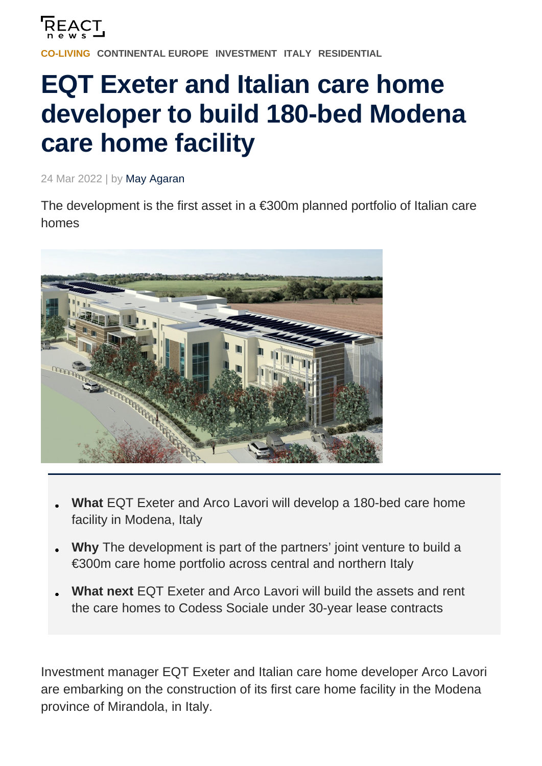

**[CONTINENTAL EUROPE](https://reactnews.com/region/continental-europe/) [INVESTMENT](https://reactnews.com/sector/investment/) [ITALY](https://reactnews.com/region/italy/) [RESIDENTIAL](https://reactnews.com/sector/residential/)** 

## **EQT Exeter and Italian care home developer to build 180-bed Modena care home facility**

24 Mar 2022 | by May Agaran

The development is the first asset in a  $\epsilon$ 300m planned portfolio of Italian care homes



- **What** EQT Exeter and Arco Lavori will develop a 180-bed care home facility in Modena, Italy
- **Why** The development is part of the partners' joint venture to build a €300m care home portfolio across central and northern Italy
- **What next** EQT Exeter and Arco Lavori will build the assets and rent the care homes to Codess Sociale under 30-year lease contracts

Investment manager EQT Exeter and Italian care home developer Arco Lavori are embarking on the construction of its first care home facility in the Modena province of Mirandola, in Italy.